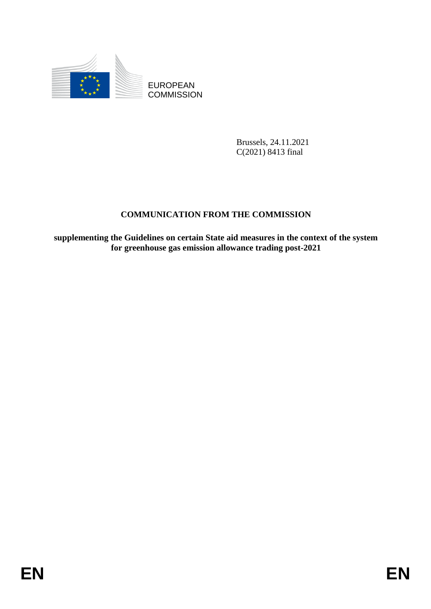

**COMMISSION** 

Brussels, 24.11.2021 C(2021) 8413 final

## **COMMUNICATION FROM THE COMMISSION**

EUROPEAN<br>
EDISCRIPT COMMUSSION<br>
ENVIRONMENT COMMUNICATION<br>
ENVIRONMENT COMMUNICATION<br>
ENVIRONMENT COMMUNICATION<br>
ENVIRONMENT COMMUNICATION<br>
For greenhouse gas emission allowance trading post-2021<br>
FOR<br>
EN **supplementing the Guidelines on certain State aid measures in the context of the system for greenhouse gas emission allowance trading post-2021**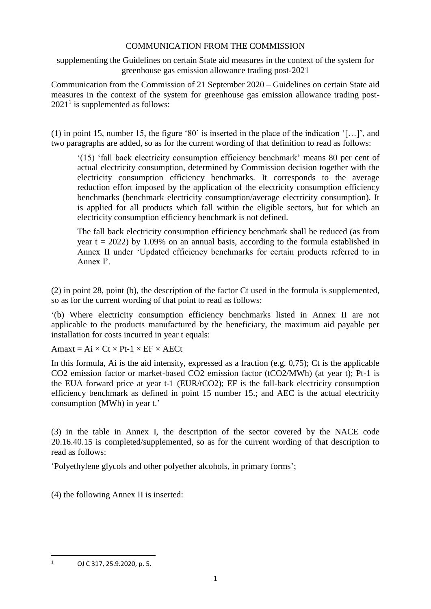#### COMMUNICATION FROM THE COMMISSION

supplementing the Guidelines on certain State aid measures in the context of the system for greenhouse gas emission allowance trading post-2021

Communication from the Commission of 21 September 2020 – Guidelines on certain State aid measures in the context of the system for greenhouse gas emission allowance trading post- $2021<sup>1</sup>$  is supplemented as follows:

(1) in point 15, number 15, the figure '80' is inserted in the place of the indication '[…]', and two paragraphs are added, so as for the current wording of that definition to read as follows:

'(15) 'fall back electricity consumption efficiency benchmark' means 80 per cent of actual electricity consumption, determined by Commission decision together with the electricity consumption efficiency benchmarks. It corresponds to the average reduction effort imposed by the application of the electricity consumption efficiency benchmarks (benchmark electricity consumption/average electricity consumption). It is applied for all products which fall within the eligible sectors, but for which an electricity consumption efficiency benchmark is not defined.

The fall back electricity consumption efficiency benchmark shall be reduced (as from year  $t = 2022$ ) by 1.09% on an annual basis, according to the formula established in Annex II under 'Updated efficiency benchmarks for certain products referred to in Annex I'.

(2) in point 28, point (b), the description of the factor Ct used in the formula is supplemented, so as for the current wording of that point to read as follows:

'(b) Where electricity consumption efficiency benchmarks listed in Annex II are not applicable to the products manufactured by the beneficiary, the maximum aid payable per installation for costs incurred in year t equals:

Amaxt =  $Ai \times Ct \times Pt-1 \times EF \times AECt$ 

In this formula, Ai is the aid intensity, expressed as a fraction (e.g. 0,75); Ct is the applicable CO2 emission factor or market-based CO2 emission factor (tCO2/MWh) (at year t); Pt-1 is the EUA forward price at year t-1 (EUR/tCO2); EF is the fall-back electricity consumption efficiency benchmark as defined in point 15 number 15.; and AEC is the actual electricity consumption (MWh) in year t.'

(3) in the table in Annex I, the description of the sector covered by the NACE code 20.16.40.15 is completed/supplemented, so as for the current wording of that description to read as follows:

'Polyethylene glycols and other polyether alcohols, in primary forms';

(4) the following Annex II is inserted:

**.** 

<sup>1</sup> OJ C 317, 25.9.2020, p. 5.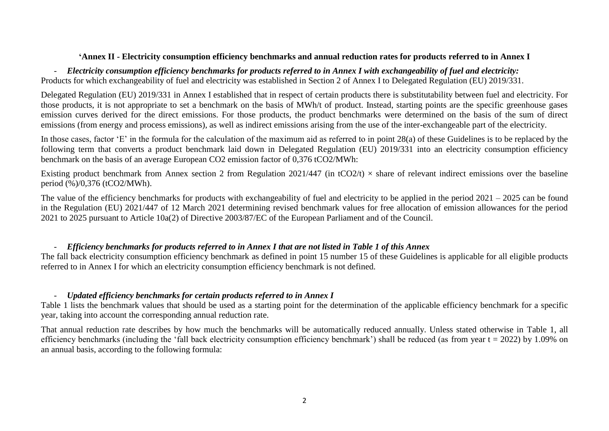#### **'Annex II - Electricity consumption efficiency benchmarks and annual reduction rates for products referred to in Annex I**

- *Electricity consumption efficiency benchmarks for products referred to in Annex I with exchangeability of fuel and electricity:* Products for which exchangeability of fuel and electricity was established in Section 2 of Annex I to Delegated Regulation (EU) 2019/331.

Delegated Regulation (EU) 2019/331 in Annex I established that in respect of certain products there is substitutability between fuel and electricity. For those products, it is not appropriate to set a benchmark on the basis of MWh/t of product. Instead, starting points are the specific greenhouse gases emission curves derived for the direct emissions. For those products, the product benchmarks were determined on the basis of the sum of direct emissions (from energy and process emissions), as well as indirect emissions arising from the use of the inter-exchangeable part of the electricity.

In those cases, factor 'E' in the formula for the calculation of the maximum aid as referred to in point 28(a) of these Guidelines is to be replaced by the following term that converts a product benchmark laid down in Delegated Regulation (EU) 2019/331 into an electricity consumption efficiency benchmark on the basis of an average European CO2 emission factor of 0,376 tCO2/MWh:

Existing product benchmark from Annex section 2 from Regulation 2021/447 (in tCO2/t)  $\times$  share of relevant indirect emissions over the baseline period (%)/0,376 (tCO2/MWh).

The value of the efficiency benchmarks for products with exchangeability of fuel and electricity to be applied in the period  $2021 - 2025$  can be found in the Regulation (EU) 2021/447 of 12 March 2021 determining revised benchmark values for free allocation of emission allowances for the period 2021 to 2025 pursuant to Article 10a(2) of Directive 2003/87/EC of the European Parliament and of the Council.

#### - *Efficiency benchmarks for products referred to in Annex I that are not listed in Table 1 of this Annex*

The fall back electricity consumption efficiency benchmark as defined in point 15 number 15 of these Guidelines is applicable for all eligible products referred to in Annex I for which an electricity consumption efficiency benchmark is not defined.

#### - *Updated efficiency benchmarks for certain products referred to in Annex I*

Table 1 lists the benchmark values that should be used as a starting point for the determination of the applicable efficiency benchmark for a specific year, taking into account the corresponding annual reduction rate.

That annual reduction rate describes by how much the benchmarks will be automatically reduced annually. Unless stated otherwise in Table 1, all efficiency benchmarks (including the 'fall back electricity consumption efficiency benchmark') shall be reduced (as from year  $t = 2022$ ) by 1.09% on an annual basis, according to the following formula: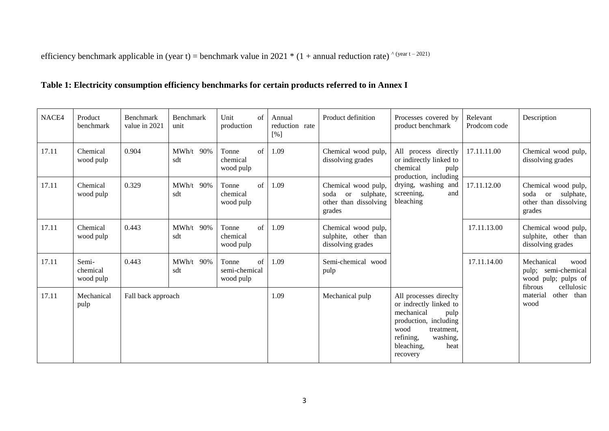efficiency benchmark applicable in (year t) = benchmark value in 2021 \* (1 + annual reduction rate)  $\text{``year t} - 2021}$ )

## **Table 1: Electricity consumption efficiency benchmarks for certain products referred to in Annex I**

| NACE4 | Product<br>benchmark           | Benchmark<br>value in 2021 | Benchmark<br>unit  | Unit<br>of<br>production                     | Annual<br>reduction rate<br>[%] | Product definition                                                             | Processes covered by<br>product benchmark                                                                                                                                        | Relevant<br>Prodcom code | Description                                                                                  |                                          |
|-------|--------------------------------|----------------------------|--------------------|----------------------------------------------|---------------------------------|--------------------------------------------------------------------------------|----------------------------------------------------------------------------------------------------------------------------------------------------------------------------------|--------------------------|----------------------------------------------------------------------------------------------|------------------------------------------|
| 17.11 | Chemical<br>wood pulp          | 0.904                      | MWh/t 90%<br>sdt   | Tonne<br>$\sigma$ f<br>chemical<br>wood pulp | 1.09                            | Chemical wood pulp,<br>dissolving grades                                       | All process directly<br>or indirectly linked to<br>chemical<br>pulp                                                                                                              |                          | 17.11.11.00                                                                                  | Chemical wood pulp,<br>dissolving grades |
| 17.11 | Chemical<br>wood pulp          | 0.329                      | $MWh/t$ 90%<br>sdt | $\sigma$ f<br>Tonne<br>chemical<br>wood pulp | 1.09                            | Chemical wood pulp,<br>soda or<br>sulphate,<br>other than dissolving<br>grades | production, including<br>drying, washing and<br>screening,<br>and<br>bleaching                                                                                                   | 17.11.12.00              | Chemical wood pulp,<br>or sulphate,<br>soda<br>other than dissolving<br>grades               |                                          |
| 17.11 | Chemical<br>wood pulp          | 0.443                      | MWh/t 90%<br>sdt   | Tonne<br>of<br>chemical<br>wood pulp         | 1.09                            | Chemical wood pulp,<br>sulphite, other than<br>dissolving grades               |                                                                                                                                                                                  | 17.11.13.00              | Chemical wood pulp,<br>sulphite, other than<br>dissolving grades                             |                                          |
| 17.11 | Semi-<br>chemical<br>wood pulp | 0.443                      | MWh/t 90%<br>sdt   | Tonne<br>of<br>semi-chemical<br>wood pulp    | 1.09                            | Semi-chemical wood<br>pulp                                                     |                                                                                                                                                                                  | 17.11.14.00              | Mechanical<br>wood<br>semi-chemical<br>pulp;<br>wood pulp; pulps of<br>fibrous<br>cellulosic |                                          |
| 17.11 | Mechanical<br>pulp             | Fall back approach         |                    |                                              | 1.09                            | Mechanical pulp                                                                | All processes directty<br>or indrectly linked to<br>mechanical<br>pulp<br>production, including<br>wood<br>treatment,<br>refining,<br>washing,<br>bleaching,<br>heat<br>recovery |                          | material<br>other than<br>wood                                                               |                                          |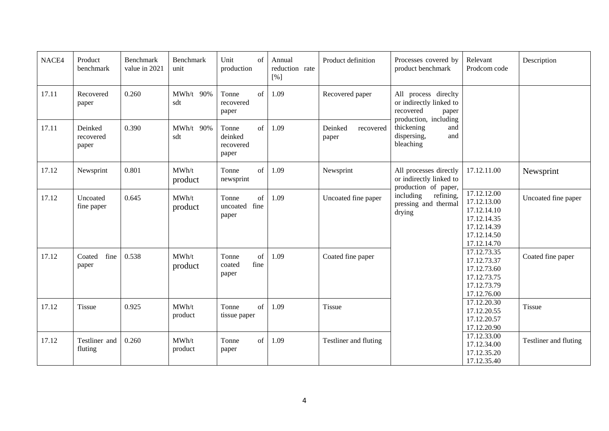| NACE4 | Product<br>benchmark          | Benchmark<br>value in 2021 | Benchmark<br>unit | Unit<br>of<br>production                     | Annual<br>reduction rate<br>[%] | Product definition            | Processes covered by<br>product benchmark                                                                                                              | Relevant<br>Prodcom code                                 | Description                                                                                           |                     |  |  |  |  |  |  |  |  |  |
|-------|-------------------------------|----------------------------|-------------------|----------------------------------------------|---------------------------------|-------------------------------|--------------------------------------------------------------------------------------------------------------------------------------------------------|----------------------------------------------------------|-------------------------------------------------------------------------------------------------------|---------------------|--|--|--|--|--|--|--|--|--|
| 17.11 | Recovered<br>paper            | 0.260                      | MWh/t 90%<br>sdt  | of<br>Tonne<br>recovered<br>paper            | 1.09                            | Recovered paper               | All process directty<br>or indirectly linked to<br>recovered<br>paper<br>production, including<br>thickening<br>and<br>dispersing,<br>and<br>bleaching |                                                          |                                                                                                       |                     |  |  |  |  |  |  |  |  |  |
| 17.11 | Deinked<br>recovered<br>paper | 0.390                      | MWh/t 90%<br>sdt  | of<br>Tonne<br>deinked<br>recovered<br>paper | 1.09                            | Deinked<br>recovered<br>paper |                                                                                                                                                        |                                                          |                                                                                                       |                     |  |  |  |  |  |  |  |  |  |
| 17.12 | Newsprint                     | 0.801                      | MWh/t<br>product  | of<br>Tonne<br>newsprint                     | 1.09                            | Newsprint                     | All processes directly<br>or indirectly linked to                                                                                                      | 17.12.11.00                                              | Newsprint                                                                                             |                     |  |  |  |  |  |  |  |  |  |
| 17.12 | Uncoated<br>fine paper        | 0.645                      | MWh/t<br>product  | of<br>Tonne<br>uncoated fine<br>paper        | 1.09                            | Uncoated fine paper           | production of paper,<br>including<br>refining,<br>pressing and thermal<br>drying                                                                       |                                                          | 17.12.12.00<br>17.12.13.00<br>17.12.14.10<br>17.12.14.35<br>17.12.14.39<br>17.12.14.50<br>17.12.14.70 | Uncoated fine paper |  |  |  |  |  |  |  |  |  |
| 17.12 | Coated<br>fine<br>paper       | 0.538                      | MWh/t<br>product  | of<br>Tonne<br>fine<br>coated<br>paper       | 1.09                            | Coated fine paper             |                                                                                                                                                        |                                                          | 17.12.73.35<br>17.12.73.37<br>17.12.73.60<br>17.12.73.75<br>17.12.73.79<br>17.12.76.00                | Coated fine paper   |  |  |  |  |  |  |  |  |  |
| 17.12 | Tissue                        | 0.925                      | MWh/t<br>product  | of<br>Tonne<br>tissue paper                  | 1.09                            | Tissue                        |                                                                                                                                                        | 17.12.20.30<br>17.12.20.55<br>17.12.20.57<br>17.12.20.90 | Tissue                                                                                                |                     |  |  |  |  |  |  |  |  |  |
| 17.12 | Testliner and<br>fluting      | 0.260                      | MWh/t<br>product  | of<br>Tonne<br>paper                         | 1.09                            | Testliner and fluting         |                                                                                                                                                        | 17.12.33.00<br>17.12.34.00<br>17.12.35.20<br>17.12.35.40 | Testliner and fluting                                                                                 |                     |  |  |  |  |  |  |  |  |  |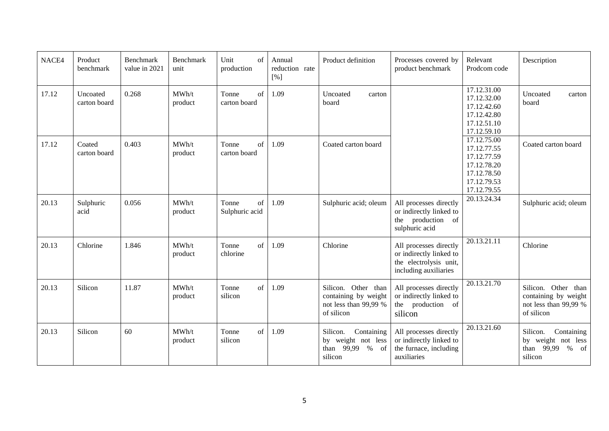| NACE4 | Product<br>benchmark     | Benchmark<br>value in 2021 | Benchmark<br>unit | Unit<br>of<br>production      | Annual<br>reduction rate<br>[%] | Product definition                                                                 | Processes covered by<br>product benchmark                                                            | Relevant<br>Prodcom code                                                                              | Description                                                                                    |
|-------|--------------------------|----------------------------|-------------------|-------------------------------|---------------------------------|------------------------------------------------------------------------------------|------------------------------------------------------------------------------------------------------|-------------------------------------------------------------------------------------------------------|------------------------------------------------------------------------------------------------|
| 17.12 | Uncoated<br>carton board | 0.268                      | MWh/t<br>product  | of<br>Tonne<br>carton board   | 1.09                            | Uncoated<br>carton<br>board                                                        |                                                                                                      | 17.12.31.00<br>17.12.32.00<br>17.12.42.60<br>17.12.42.80<br>17.12.51.10<br>17.12.59.10                | Uncoated<br>carton<br>board                                                                    |
| 17.12 | Coated<br>carton board   | 0.403                      | MWh/t<br>product  | of<br>Tonne<br>carton board   | 1.09                            | Coated carton board                                                                |                                                                                                      | 17.12.75.00<br>17.12.77.55<br>17.12.77.59<br>17.12.78.20<br>17.12.78.50<br>17.12.79.53<br>17.12.79.55 | Coated carton board                                                                            |
| 20.13 | Sulphuric<br>acid        | 0.056                      | MWh/t<br>product  | of<br>Tonne<br>Sulphuric acid | 1.09                            | Sulphuric acid; oleum                                                              | All processes directly<br>or indirectly linked to<br>the production of<br>sulphuric acid             | 20.13.24.34                                                                                           | Sulphuric acid; oleum                                                                          |
| 20.13 | Chlorine                 | 1.846                      | MWh/t<br>product  | of<br>Tonne<br>chlorine       | 1.09                            | Chlorine                                                                           | All processes directly<br>or indirectly linked to<br>the electrolysis unit,<br>including auxiliaries | 20.13.21.11                                                                                           | Chlorine                                                                                       |
| 20.13 | Silicon                  | 11.87                      | MWh/t<br>product  | of<br>Tonne<br>silicon        | 1.09                            | Silicon. Other than<br>containing by weight<br>not less than 99,99 %<br>of silicon | All processes directly<br>or indirectly linked to<br>the production of<br>silicon                    | 20.13.21.70                                                                                           | Silicon. Other than<br>containing by weight<br>not less than 99,99 %<br>of silicon             |
| 20.13 | Silicon                  | 60                         | MWh/t<br>product  | of<br>Tonne<br>silicon        | 1.09                            | Silicon.<br>Containing<br>by weight not less<br>99,99<br>$%$ of<br>than<br>silicon | All processes directly<br>or indirectly linked to<br>the furnace, including<br>auxiliaries           | 20.13.21.60                                                                                           | Silicon.<br>Containing<br>by weight not less<br>$\%$<br>than 99,99<br><sub>of</sub><br>silicon |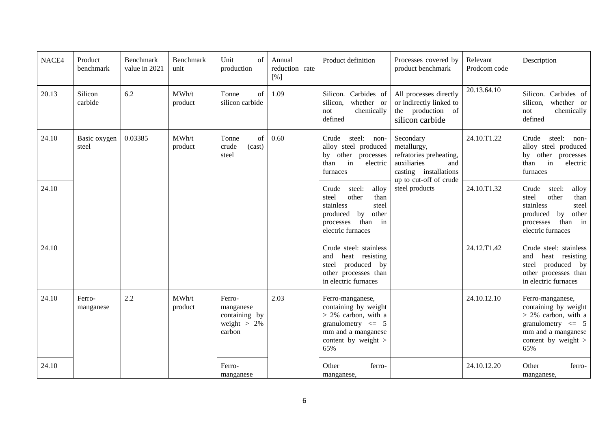| NACE4 | Product<br>benchmark  | Benchmark<br>value in 2021 | Benchmark<br>unit | Unit<br>of<br>production                                         | Annual<br>reduction rate<br>[%] | Product definition                                                                                                                               | Processes covered by<br>product benchmark                                                                                    | Relevant<br>Prodcom code | Description                                                                                                                                         |
|-------|-----------------------|----------------------------|-------------------|------------------------------------------------------------------|---------------------------------|--------------------------------------------------------------------------------------------------------------------------------------------------|------------------------------------------------------------------------------------------------------------------------------|--------------------------|-----------------------------------------------------------------------------------------------------------------------------------------------------|
| 20.13 | Silicon<br>carbide    | 6.2                        | MWh/t<br>product  | of<br>Tonne<br>silicon carbide                                   | 1.09                            | Silicon. Carbides of<br>whether or<br>silicon,<br>chemically<br>not<br>defined                                                                   | All processes directly<br>or indirectly linked to<br>the production of<br>silicon carbide                                    | 20.13.64.10              | Silicon. Carbides of<br>silicon, whether or<br>chemically<br>not<br>defined                                                                         |
| 24.10 | Basic oxygen<br>steel | 0.03385                    | MWh/t<br>product  | of<br>Tonne<br>(cast)<br>crude<br>steel                          | 0.60                            | Crude steel: non-<br>alloy steel produced<br>other processes<br>by<br>in<br>electric<br>than<br>furnaces                                         | Secondary<br>metallurgy,<br>refratories preheating,<br>auxiliaries<br>and<br>casting installations<br>up to cut-off of crude | 24.10.T1.22              | Crude<br>steel: non-<br>alloy steel produced<br>by other processes<br>than<br>in<br>electric<br>furnaces                                            |
| 24.10 |                       |                            |                   |                                                                  |                                 | alloy<br>Crude<br>steel:<br>other<br>steel<br>than<br>stainless<br>steel<br>by other<br>produced<br>in<br>than<br>processes<br>electric furnaces | steel products                                                                                                               | 24.10.T1.32              | alloy<br>Crude<br>steel:<br>other<br>steel<br>than<br>stainless<br>steel<br>other<br>by<br>produced<br>than<br>in<br>processes<br>electric furnaces |
| 24.10 |                       |                            |                   |                                                                  |                                 | Crude steel: stainless<br>heat resisting<br>and<br>produced by<br>steel<br>other processes than<br>in electric furnaces                          |                                                                                                                              | 24.12.T1.42              | Crude steel: stainless<br>and<br>heat resisting<br>steel produced by<br>other processes than<br>in electric furnaces                                |
| 24.10 | Ferro-<br>manganese   | 2.2                        | MWh/t<br>product  | Ferro-<br>manganese<br>containing by<br>weight $> 2\%$<br>carbon | 2.03                            | Ferro-manganese,<br>containing by weight<br>$> 2\%$ carbon, with a<br>granulometry $\leq$ 5<br>mm and a manganese<br>content by weight ><br>65%  |                                                                                                                              | 24.10.12.10              | Ferro-manganese,<br>containing by weight<br>$> 2\%$ carbon, with a<br>granulometry $\leq$ 5<br>mm and a manganese<br>content by weight $>$<br>65%   |
| 24.10 |                       |                            |                   | Ferro-<br>manganese                                              |                                 | Other<br>ferro-<br>manganese.                                                                                                                    |                                                                                                                              | 24.10.12.20              | Other<br>ferro-<br>manganese,                                                                                                                       |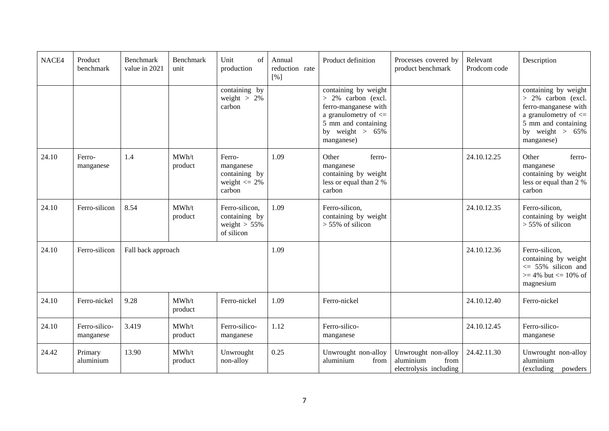| NACE4 | Product<br>benchmark       | <b>Benchmark</b><br>value in 2021 | <b>Benchmark</b><br>unit | Unit<br>of<br>production                                           | Annual<br>reduction rate<br>[%] | Product definition                                                                                                                                           | Processes covered by<br>product benchmark                          | Relevant<br>Prodcom code | Description                                                                                                                                               |
|-------|----------------------------|-----------------------------------|--------------------------|--------------------------------------------------------------------|---------------------------------|--------------------------------------------------------------------------------------------------------------------------------------------------------------|--------------------------------------------------------------------|--------------------------|-----------------------------------------------------------------------------------------------------------------------------------------------------------|
|       |                            |                                   |                          | containing by<br>weight $> 2\%$<br>carbon                          |                                 | containing by weight<br>$> 2\%$ carbon (excl.<br>ferro-manganese with<br>a granulometry of $\leq$<br>5 mm and containing<br>by weight $> 65\%$<br>manganese) |                                                                    |                          | containing by weight<br>> 2% carbon (excl.<br>ferro-manganese with<br>a granulometry of $\leq$<br>5 mm and containing<br>by weight $> 65\%$<br>manganese) |
| 24.10 | Ferro-<br>manganese        | 1.4                               | MWh/t<br>product         | Ferro-<br>manganese<br>containing by<br>weight $\leq$ 2%<br>carbon | 1.09                            | Other<br>ferro-<br>manganese<br>containing by weight<br>less or equal than 2 %<br>carbon                                                                     |                                                                    | 24.10.12.25              | Other<br>ferro-<br>manganese<br>containing by weight<br>less or equal than 2 %<br>carbon                                                                  |
| 24.10 | Ferro-silicon              | 8.54                              | MWh/t<br>product         | Ferro-silicon,<br>containing by<br>weight $> 55\%$<br>of silicon   | 1.09                            | Ferro-silicon,<br>containing by weight<br>$> 55\%$ of silicon                                                                                                |                                                                    | 24.10.12.35              | Ferro-silicon,<br>containing by weight<br>$> 55\%$ of silicon                                                                                             |
| 24.10 | Ferro-silicon              | Fall back approach                |                          |                                                                    | 1.09                            |                                                                                                                                                              |                                                                    | 24.10.12.36              | Ferro-silicon,<br>containing by weight<br>$\leq$ 55% silicon and<br>$>= 4\%$ but $<= 10\%$ of<br>magnesium                                                |
| 24.10 | Ferro-nickel               | 9.28                              | MWh/t<br>product         | Ferro-nickel                                                       | 1.09                            | Ferro-nickel                                                                                                                                                 |                                                                    | 24.10.12.40              | Ferro-nickel                                                                                                                                              |
| 24.10 | Ferro-silico-<br>manganese | 3.419                             | MWh/t<br>product         | Ferro-silico-<br>manganese                                         | 1.12                            | Ferro-silico-<br>manganese                                                                                                                                   |                                                                    | 24.10.12.45              | Ferro-silico-<br>manganese                                                                                                                                |
| 24.42 | Primary<br>aluminium       | 13.90                             | MWh/t<br>product         | Unwrought<br>non-alloy                                             | 0.25                            | Unwrought non-alloy<br>aluminium<br>from                                                                                                                     | Unwrought non-alloy<br>aluminium<br>from<br>electrolysis including | 24.42.11.30              | Unwrought non-alloy<br>aluminium<br>(excluding<br>powders                                                                                                 |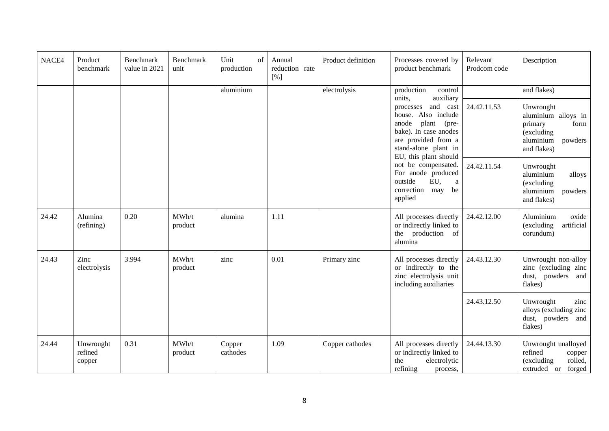| NACE4 | Product<br>benchmark           | Benchmark<br>value in 2021 | <b>Benchmark</b><br>unit | Unit<br>of<br>production | Annual<br>reduction rate<br>[%] | Product definition | Processes covered by<br>product benchmark                                                                                                                                                       | Relevant<br>Prodcom code | Description                                                                                                             |
|-------|--------------------------------|----------------------------|--------------------------|--------------------------|---------------------------------|--------------------|-------------------------------------------------------------------------------------------------------------------------------------------------------------------------------------------------|--------------------------|-------------------------------------------------------------------------------------------------------------------------|
|       |                                |                            |                          | aluminium                |                                 | electrolysis       | production<br>control<br>units,<br>auxiliary<br>and cast<br>processes<br>house. Also include<br>anode<br>plant<br>(pre-<br>bake). In case anodes<br>are provided from a<br>stand-alone plant in | 24.42.11.53              | and flakes)<br>Unwrought<br>aluminium alloys in<br>form<br>primary<br>(excluding<br>aluminium<br>powders<br>and flakes) |
|       |                                |                            |                          |                          |                                 |                    | EU, this plant should<br>not be compensated.<br>For anode produced<br>EU,<br>outside<br>a<br>correction may<br>be<br>applied                                                                    | 24.42.11.54              | Unwrought<br>aluminium<br>alloys<br>(excluding<br>aluminium<br>powders<br>and flakes)                                   |
| 24.42 | Alumina<br>(refining)          | 0.20                       | MWh/t<br>product         | alumina                  | 1.11                            |                    | All processes directly<br>or indirectly linked to<br>the production of<br>alumina                                                                                                               | 24.42.12.00              | oxide<br>Aluminium<br>artificial<br>(excluding<br>corundum)                                                             |
| 24.43 | Zinc<br>electrolysis           | 3.994                      | MWh/t<br>product         | zinc                     | 0.01                            | Primary zinc       | All processes directly<br>or indirectly to the<br>zinc electrolysis unit<br>including auxiliaries                                                                                               | 24.43.12.30              | Unwrought non-alloy<br>zinc (excluding zinc<br>dust,<br>powders<br>and<br>flakes)                                       |
|       |                                |                            |                          |                          |                                 |                    |                                                                                                                                                                                                 | 24.43.12.50              | Unwrought<br>zinc<br>alloys (excluding zinc<br>dust, powders<br>and<br>flakes)                                          |
| 24.44 | Unwrought<br>refined<br>copper | 0.31                       | MWh/t<br>product         | Copper<br>cathodes       | 1.09                            | Copper cathodes    | All processes directly<br>or indirectly linked to<br>the<br>electrolytic<br>refining<br>process,                                                                                                | 24.44.13.30              | Unwrought unalloyed<br>refined<br>copper<br>(excluding<br>rolled,<br>extruded or<br>forged                              |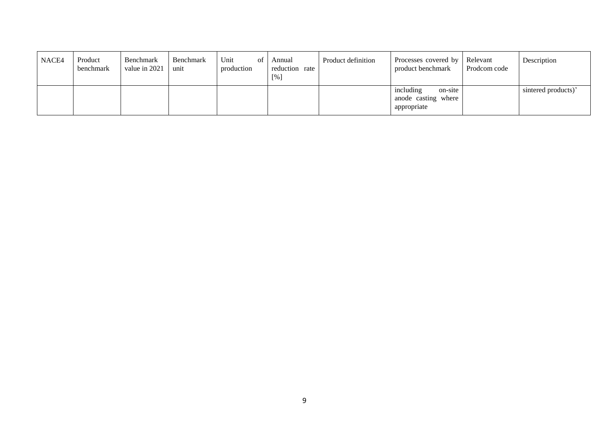| NACE4 | Product<br>benchmark | Benchmark<br>value in 2021 | Benchmark<br>unit | Unit<br>of<br>production | Annual<br>reduction rate<br>[%] | Product definition | Processes covered by Relevant<br>product benchmark         | Prodcom code | Description         |
|-------|----------------------|----------------------------|-------------------|--------------------------|---------------------------------|--------------------|------------------------------------------------------------|--------------|---------------------|
|       |                      |                            |                   |                          |                                 |                    | including<br>on-site<br>anode casting where<br>appropriate |              | sintered products)' |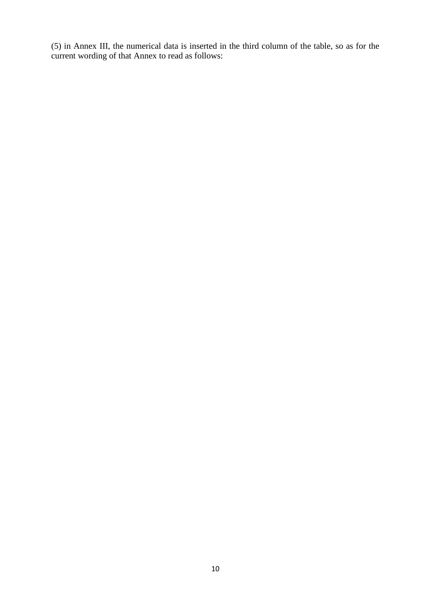(5) in Annex III, the numerical data is inserted in the third column of the table, so as for the current wording of that Annex to read as follows: